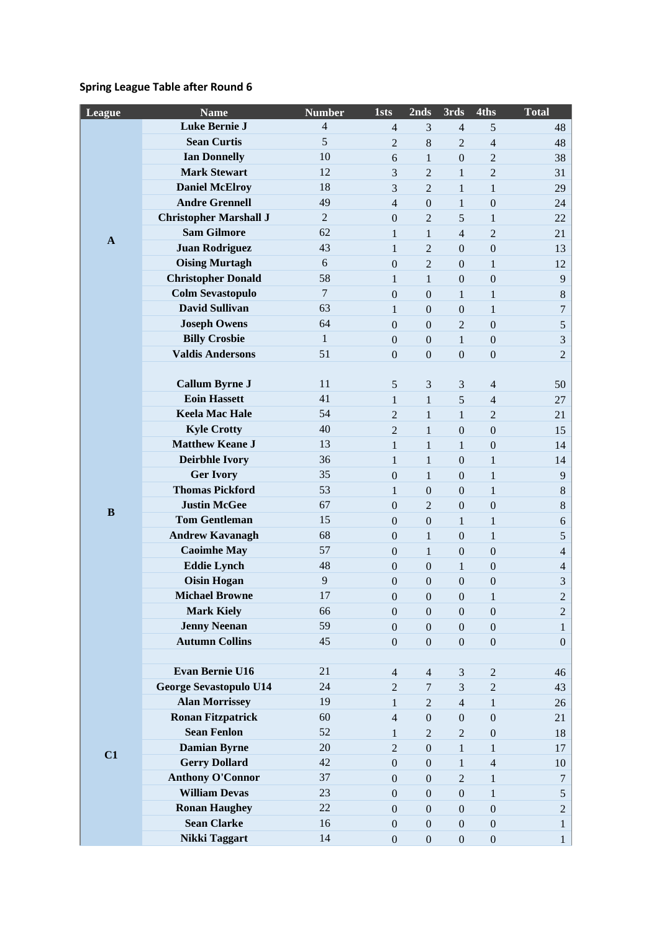# **Spring League Table after Round 6**

| League       | <b>Name</b>                                  | <b>Number</b>  | <b>1sts</b>                      | 2nds                             | 3rds                | 4ths                                 | <b>Total</b>        |
|--------------|----------------------------------------------|----------------|----------------------------------|----------------------------------|---------------------|--------------------------------------|---------------------|
|              | Luke Bernie J                                | 4              | $\overline{4}$                   | 3                                | $\overline{4}$      | 5                                    | 48                  |
|              | <b>Sean Curtis</b>                           | 5              | $\overline{c}$                   | $8\,$                            | $\overline{2}$      | $\overline{4}$                       | 48                  |
|              | <b>Ian Donnelly</b>                          | 10             | 6                                | $\mathbf{1}$                     | $\boldsymbol{0}$    | $\overline{c}$                       | 38                  |
|              | <b>Mark Stewart</b>                          | 12             | 3                                | $\overline{2}$                   | $\mathbf{1}$        | $\overline{2}$                       | 31                  |
|              | <b>Daniel McElroy</b>                        | 18             | 3                                | $\overline{2}$                   | $\mathbf{1}$        | $\mathbf{1}$                         | 29                  |
|              | <b>Andre Grennell</b>                        | 49             | $\overline{4}$                   | $\boldsymbol{0}$                 | $\mathbf{1}$        | $\boldsymbol{0}$                     | 24                  |
|              | <b>Christopher Marshall J</b>                | $\mathbf{2}$   | $\boldsymbol{0}$                 | $\overline{2}$                   | 5                   | $\mathbf{1}$                         | 22                  |
| $\mathbf{A}$ | <b>Sam Gilmore</b>                           | 62             | $\mathbf{1}$                     | $\mathbf{1}$                     | $\overline{4}$      | $\overline{2}$                       | 21                  |
|              | <b>Juan Rodriguez</b>                        | 43             | $\mathbf{1}$                     | $\overline{2}$                   | $\boldsymbol{0}$    | $\boldsymbol{0}$                     | 13                  |
|              | <b>Oising Murtagh</b>                        | 6              | $\mathbf{0}$                     | $\overline{2}$                   | $\boldsymbol{0}$    | $\mathbf{1}$                         | 12                  |
|              | <b>Christopher Donald</b>                    | 58             | 1                                | $\mathbf{1}$                     | $\boldsymbol{0}$    | $\boldsymbol{0}$                     | $\overline{9}$      |
|              | <b>Colm Sevastopulo</b>                      | $\overline{7}$ | $\boldsymbol{0}$                 | $\boldsymbol{0}$                 | 1                   | $\mathbf{1}$                         | $\,8\,$             |
|              | <b>David Sullivan</b>                        | 63             | 1                                | $\boldsymbol{0}$                 | $\boldsymbol{0}$    | $\mathbf{1}$                         | $\overline{7}$      |
|              | <b>Joseph Owens</b>                          | 64             | $\boldsymbol{0}$                 | $\boldsymbol{0}$                 | $\overline{2}$      | $\boldsymbol{0}$                     | 5                   |
|              | <b>Billy Crosbie</b>                         | $\mathbf{1}$   | $\boldsymbol{0}$                 | $\boldsymbol{0}$                 | $\mathbf{1}$        | $\mathbf{0}$                         | $\mathfrak{Z}$      |
|              | <b>Valdis Andersons</b>                      | 51             | $\boldsymbol{0}$                 | $\boldsymbol{0}$                 | $\boldsymbol{0}$    | $\boldsymbol{0}$                     | $\overline{2}$      |
|              |                                              |                |                                  |                                  |                     |                                      |                     |
|              | <b>Callum Byrne J</b>                        | 11             | 5                                | 3                                | 3                   | $\overline{4}$                       | 50                  |
|              | <b>Eoin Hassett</b>                          | 41             | $\mathbf{1}$                     | $\mathbf{1}$                     | 5                   | $\overline{4}$                       | 27                  |
|              | <b>Keela Mac Hale</b>                        | 54             | $\overline{2}$                   | $\mathbf 1$                      | 1                   | $\overline{2}$                       | 21                  |
|              | <b>Kyle Crotty</b>                           | 40             | $\overline{2}$                   | $\mathbf{1}$                     | $\boldsymbol{0}$    | $\boldsymbol{0}$                     | 15                  |
|              | <b>Matthew Keane J</b>                       | 13             | $\mathbf{1}$                     | $\mathbf{1}$                     | $\mathbf{1}$        | $\mathbf{0}$                         | 14                  |
|              | <b>Deirbhle Ivory</b>                        | 36             | $\mathbf{1}$                     | $\mathbf{1}$                     | $\boldsymbol{0}$    | $\mathbf{1}$                         | 14                  |
|              | <b>Ger Ivory</b>                             | 35             | $\mathbf{0}$                     | $\mathbf{1}$                     | $\overline{0}$      | $\mathbf{1}$                         | $\overline{9}$      |
|              | <b>Thomas Pickford</b>                       | 53             | $\mathbf{1}$                     | $\boldsymbol{0}$                 | $\boldsymbol{0}$    | $\mathbf{1}$                         | $\,8\,$             |
| $\bf{B}$     | <b>Justin McGee</b>                          | 67             | $\boldsymbol{0}$                 | $\overline{2}$                   | $\boldsymbol{0}$    | $\boldsymbol{0}$                     | $8\,$               |
|              | <b>Tom Gentleman</b>                         | 15<br>68       | $\boldsymbol{0}$                 | $\boldsymbol{0}$                 | 1                   | $\mathbf{1}$                         | $\sqrt{6}$          |
|              | <b>Andrew Kavanagh</b><br><b>Caoimhe May</b> | 57             | $\overline{0}$                   | $\mathbf{1}$                     | $\boldsymbol{0}$    | $\mathbf{1}$                         | 5                   |
|              | <b>Eddie Lynch</b>                           | 48             | $\mathbf{0}$<br>$\boldsymbol{0}$ | $\mathbf{1}$<br>$\boldsymbol{0}$ | $\boldsymbol{0}$    | $\boldsymbol{0}$<br>$\boldsymbol{0}$ | $\overline{4}$      |
|              | <b>Oisin Hogan</b>                           | 9              | $\mathbf{0}$                     | $\boldsymbol{0}$                 | 1<br>$\overline{0}$ |                                      | $\overline{4}$<br>3 |
|              | <b>Michael Browne</b>                        | 17             | $\boldsymbol{0}$                 | $\boldsymbol{0}$                 | $\boldsymbol{0}$    | $\boldsymbol{0}$<br>1                | $\overline{2}$      |
|              | <b>Mark Kiely</b>                            | 66             | $\boldsymbol{0}$                 | $\boldsymbol{0}$                 | $\boldsymbol{0}$    | $\boldsymbol{0}$                     | $\boldsymbol{2}$    |
|              | <b>Jenny Neenan</b>                          | 59             | $\boldsymbol{0}$                 | $\boldsymbol{0}$                 | $\boldsymbol{0}$    | $\boldsymbol{0}$                     | $\mathbf{1}$        |
|              | <b>Autumn Collins</b>                        | 45             | $\boldsymbol{0}$                 | $\boldsymbol{0}$                 | $\boldsymbol{0}$    | $\boldsymbol{0}$                     | $\mathbf{0}$        |
|              |                                              |                |                                  |                                  |                     |                                      |                     |
|              | <b>Evan Bernie U16</b>                       | 21             | $\overline{4}$                   | $\overline{4}$                   | $\mathfrak{Z}$      | $\overline{c}$                       | 46                  |
|              | <b>George Sevastopulo U14</b>                | 24             | $\overline{c}$                   | $\tau$                           | 3                   | $\overline{c}$                       | 43                  |
|              | <b>Alan Morrissey</b>                        | 19             | $\mathbf{1}$                     | $\overline{2}$                   | $\overline{4}$      | $\mathbf{1}$                         | 26                  |
| C1           | <b>Ronan Fitzpatrick</b>                     | 60             | $\overline{4}$                   | $\boldsymbol{0}$                 | $\boldsymbol{0}$    | $\boldsymbol{0}$                     | 21                  |
|              | <b>Sean Fenlon</b>                           | 52             | 1                                | $\overline{2}$                   | $\sqrt{2}$          | $\boldsymbol{0}$                     | 18                  |
|              | <b>Damian Byrne</b>                          | 20             | $\mathbf{2}$                     | $\boldsymbol{0}$                 | $\mathbf{1}$        | $\mathbf{1}$                         | 17                  |
|              | <b>Gerry Dollard</b>                         | 42             | $\boldsymbol{0}$                 | $\boldsymbol{0}$                 | $\mathbf{1}$        | $\overline{4}$                       | 10                  |
|              | <b>Anthony O'Connor</b>                      | 37             | $\boldsymbol{0}$                 | $\boldsymbol{0}$                 | $\mathbf{2}$        | $\,1$                                | 7                   |
|              | <b>William Devas</b>                         | 23             | $\boldsymbol{0}$                 | $\boldsymbol{0}$                 | $\boldsymbol{0}$    | $\mathbf{1}$                         | $\mathfrak{S}$      |
|              | <b>Ronan Haughey</b>                         | 22             | $\boldsymbol{0}$                 | $\boldsymbol{0}$                 | $\boldsymbol{0}$    | $\boldsymbol{0}$                     | $\overline{c}$      |
|              | <b>Sean Clarke</b>                           | 16             | $\boldsymbol{0}$                 | $\boldsymbol{0}$                 | $\boldsymbol{0}$    | $\boldsymbol{0}$                     | 1                   |
|              | Nikki Taggart                                | 14             | $\boldsymbol{0}$                 | $\boldsymbol{0}$                 | $\boldsymbol{0}$    | $\boldsymbol{0}$                     | $\mathbf{1}$        |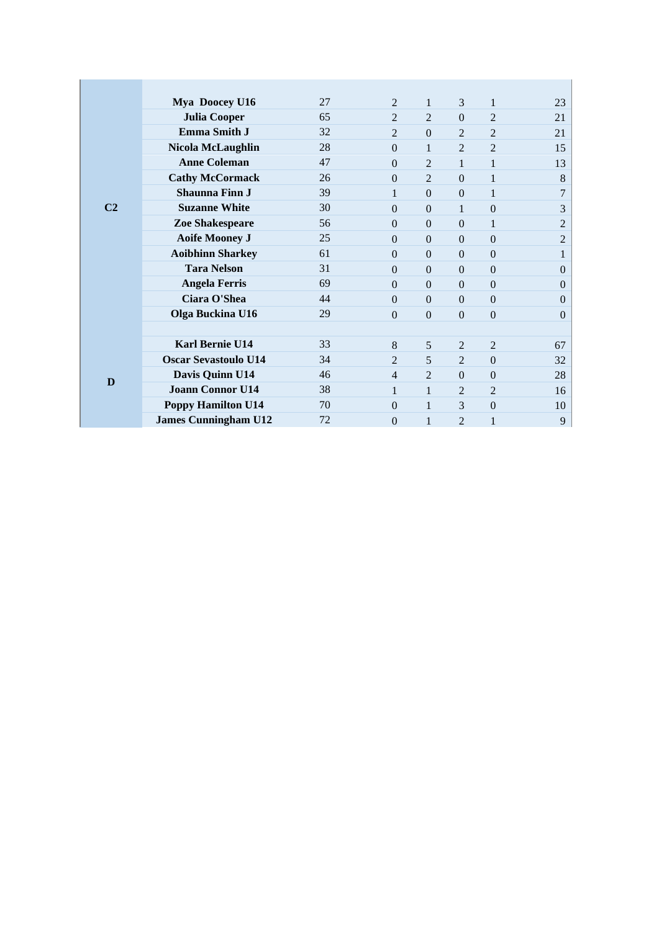|                | Mya Doocey U16              | 27 | $\mathfrak{D}$ | 1              | 3              | $\mathbf{1}$   | 23             |
|----------------|-----------------------------|----|----------------|----------------|----------------|----------------|----------------|
|                | <b>Julia Cooper</b>         | 65 | $\mathfrak{D}$ | $\overline{2}$ | $\Omega$       | $\overline{2}$ | 21             |
|                | Emma Smith J                | 32 | $\mathfrak{D}$ | $\overline{0}$ | $\mathfrak{D}$ | $\overline{2}$ | 21             |
|                | <b>Nicola McLaughlin</b>    | 28 | $\theta$       | 1              | $\overline{2}$ | $\overline{2}$ | 15             |
|                | <b>Anne Coleman</b>         | 47 | $\Omega$       | $\overline{2}$ | 1              | 1              | 13             |
|                | <b>Cathy McCormack</b>      | 26 | $\Omega$       | 2              | $\Omega$       | $\mathbf{1}$   | 8              |
|                | <b>Shaunna Finn J</b>       | 39 | 1              | $\Omega$       | $\Omega$       | 1              | 7              |
| C <sub>2</sub> | <b>Suzanne White</b>        | 30 | $\Omega$       | $\Omega$       |                | $\theta$       | 3              |
|                | Zoe Shakespeare             | 56 | $\Omega$       | $\overline{0}$ | $\Omega$       | 1              | $\mathbf{2}$   |
|                | <b>Aoife Mooney J</b>       | 25 | $\Omega$       | $\overline{0}$ | $\overline{0}$ | $\theta$       | $\overline{2}$ |
|                | <b>Aoibhinn Sharkey</b>     | 61 | $\Omega$       | $\overline{0}$ | $\Omega$       | $\mathbf{0}$   | 1              |
|                | <b>Tara Nelson</b>          | 31 | $\Omega$       | $\Omega$       | $\Omega$       | $\mathbf{0}$   | $\overline{0}$ |
|                | <b>Angela Ferris</b>        | 69 | $\Omega$       | $\Omega$       | $\Omega$       | $\theta$       | $\overline{0}$ |
|                | <b>Ciara O'Shea</b>         | 44 | $\Omega$       | $\Omega$       | $\Omega$       | $\overline{0}$ | $\Omega$       |
|                | Olga Buckina U16            | 29 | $\Omega$       | $\Omega$       | $\Omega$       | $\theta$       | $\Omega$       |
|                |                             |    |                |                |                |                |                |
|                | Karl Bernie U14             | 33 | 8              | 5              | $\mathfrak{D}$ | $\overline{2}$ | 67             |
| D              | <b>Oscar Sevastoulo U14</b> | 34 | $\mathfrak{D}$ | 5              | $\overline{2}$ | $\mathbf{0}$   | 32             |
|                | Davis Quinn U14             | 46 | $\overline{4}$ | $\overline{2}$ | $\Omega$       | $\theta$       | 28             |
|                | <b>Joann Connor U14</b>     | 38 | 1              | $\mathbf{1}$   | 2              | $\overline{2}$ | 16             |
|                | <b>Poppy Hamilton U14</b>   | 70 | $\Omega$       | 1              | 3              | $\overline{0}$ | 10             |
|                | <b>James Cunningham U12</b> | 72 | $\theta$       | 1              | $\overline{2}$ | $\mathbf{1}$   | 9              |
|                |                             |    |                |                |                |                |                |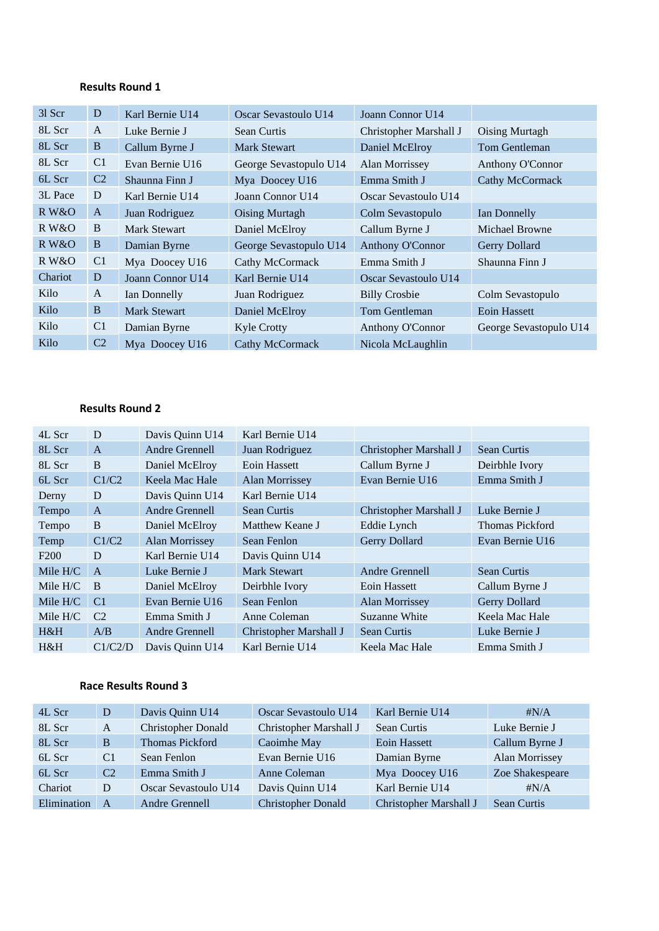#### **Results Round 1**

| $31$ Scr | D              | Karl Bernie U14     | Oscar Sevastoulo U14   | Joann Connor U14       |                        |
|----------|----------------|---------------------|------------------------|------------------------|------------------------|
| 8L Scr   | A              | Luke Bernie J       | Sean Curtis            | Christopher Marshall J | Oising Murtagh         |
| 8L Scr   | B              | Callum Byrne J      | <b>Mark Stewart</b>    | Daniel McElroy         | Tom Gentleman          |
| 8L Scr   | C <sub>1</sub> | Evan Bernie U16     | George Sevastopulo U14 | Alan Morrissey         | Anthony O'Connor       |
| 6L Scr   | C <sub>2</sub> | Shaunna Finn J      | Mya Doocey U16         | Emma Smith J           | Cathy McCormack        |
| 3L Pace  | D              | Karl Bernie U14     | Joann Connor U14       | Oscar Sevastoulo U14   |                        |
| R W&O    | A              | Juan Rodriguez      | Oising Murtagh         | Colm Sevastopulo       | Ian Donnelly           |
| R W&O    | B              | <b>Mark Stewart</b> | Daniel McElroy         | Callum Byrne J         | Michael Browne         |
| R W&O    | B              | Damian Byrne        | George Sevastopulo U14 | Anthony O'Connor       | Gerry Dollard          |
| R W&O    | C1             | Mya Doocey U16      | Cathy McCormack        | Emma Smith J           | Shaunna Finn J         |
| Chariot  | D              | Joann Connor U14    | Karl Bernie U14        | Oscar Sevastoulo U14   |                        |
| Kilo     | A              | Ian Donnelly        | Juan Rodriguez         | <b>Billy Crosbie</b>   | Colm Sevastopulo       |
| Kilo     | B              | <b>Mark Stewart</b> | Daniel McElroy         | Tom Gentleman          | Eoin Hassett           |
| Kilo     | C <sub>1</sub> | Damian Byrne        | <b>Kyle Crotty</b>     | Anthony O'Connor       | George Sevastopulo U14 |
| Kilo     | C <sub>2</sub> | Mya Doocey U16      | Cathy McCormack        | Nicola McLaughlin      |                        |

### **Results Round 2**

| 4L Scr           | D              | Davis Quinn U14 | Karl Bernie U14        |                        |                        |
|------------------|----------------|-----------------|------------------------|------------------------|------------------------|
| 8L Scr           | $\mathsf{A}$   | Andre Grennell  | Juan Rodriguez         | Christopher Marshall J | <b>Sean Curtis</b>     |
| 8L Scr           | B              | Daniel McElroy  | Eoin Hassett           | Callum Byrne J         | Deirbhle Ivory         |
| 6L Scr           | C1/C2          | Keela Mac Hale  | Alan Morrissey         | Evan Bernie U16        | Emma Smith J           |
| Derny            | D              | Davis Quinn U14 | Karl Bernie U14        |                        |                        |
| Tempo            | $\mathsf{A}$   | Andre Grennell  | <b>Sean Curtis</b>     | Christopher Marshall J | Luke Bernie J          |
| Tempo            | B              | Daniel McElroy  | Matthew Keane J        | Eddie Lynch            | <b>Thomas Pickford</b> |
| Temp             | C1/C2          | Alan Morrissey  | Sean Fenlon            | Gerry Dollard          | Evan Bernie U16        |
| F <sub>200</sub> | D              | Karl Bernie U14 | Davis Quinn U14        |                        |                        |
| Mile $H/C$       | $\mathbf{A}$   | Luke Bernie J   | Mark Stewart           | Andre Grennell         | <b>Sean Curtis</b>     |
| Mile $H/C$       | B              | Daniel McElroy  | Deirbhle Ivory         | Eoin Hassett           | Callum Byrne J         |
| Mile $H/C$       | C <sub>1</sub> | Evan Bernie U16 | Sean Fenlon            | Alan Morrissey         | Gerry Dollard          |
| Mile $H/C$       | C <sub>2</sub> | Emma Smith J    | Anne Coleman           | Suzanne White          | Keela Mac Hale         |
| H&H              | A/B            | Andre Grennell  | Christopher Marshall J | <b>Sean Curtis</b>     | Luke Bernie J          |
| H&H              | C1/C2/D        | Davis Quinn U14 | Karl Bernie U14        | Keela Mac Hale         | Emma Smith J           |

## **Race Results Round 3**

| 4L Scr      | D              | Davis Quinn U14           | Oscar Sevastoulo U14      | Karl Bernie U14        | $\sharp N/A$       |
|-------------|----------------|---------------------------|---------------------------|------------------------|--------------------|
| 8L Scr      | A              | <b>Christopher Donald</b> | Christopher Marshall J    | Sean Curtis            | Luke Bernie J      |
| 8L Scr      | B              | Thomas Pickford           | Caoimhe May               | Eoin Hassett           | Callum Byrne J     |
| 6L Scr      | C1             | Sean Fenlon               | Evan Bernie U16           | Damian Byrne           | Alan Morrissey     |
| 6L Scr      | C <sub>2</sub> | Emma Smith J              | Anne Coleman              | Mya Doocey U16         | Zoe Shakespeare    |
| Chariot     | D              | Oscar Sevastoulo U14      | Davis Quinn U14           | Karl Bernie U14        | $\sharp N/A$       |
| Elimination | $\mathsf{A}$   | Andre Grennell            | <b>Christopher Donald</b> | Christopher Marshall J | <b>Sean Curtis</b> |